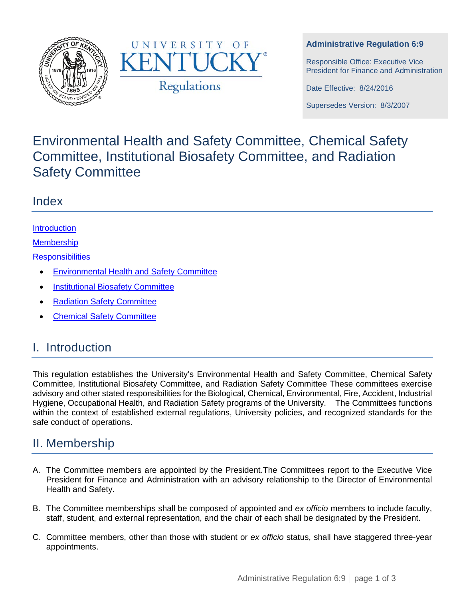



#### **Administrative Regulation 6:9**

Responsible Office: Executive Vice President for Finance and Administration

Date Effective: 8/24/2016

Supersedes Version: 8/3/2007

# Environmental Health and Safety Committee, Chemical Safety Committee, Institutional Biosafety Committee, and Radiation Safety Committee

### Index

### [Introduction](#page-0-0)

**[Membership](#page-0-1)** 

**[Responsibilities](#page-1-0)** 

- [Environmental Health and Safety Committee](#page-1-1)
- [Institutional Biosafety Committee](#page-1-2)
- [Radiation Safety Committee](#page-1-3)
- [Chemical Safety Committee](#page-2-0)

## <span id="page-0-0"></span>I. Introduction

This regulation establishes the University's Environmental Health and Safety Committee, Chemical Safety Committee, Institutional Biosafety Committee, and Radiation Safety Committee These committees exercise advisory and other stated responsibilities for the Biological, Chemical, Environmental, Fire, Accident, Industrial Hygiene, Occupational Health, and Radiation Safety programs of the University. The Committees functions within the context of established external regulations, University policies, and recognized standards for the safe conduct of operations.

### <span id="page-0-1"></span>II. Membership

- A. The Committee members are appointed by the President.The Committees report to the Executive Vice President for Finance and Administration with an advisory relationship to the Director of Environmental Health and Safety.
- B. The Committee memberships shall be composed of appointed and *ex officio* members to include faculty, staff, student, and external representation, and the chair of each shall be designated by the President.
- C. Committee members, other than those with student or *ex officio* status, shall have staggered three-year appointments.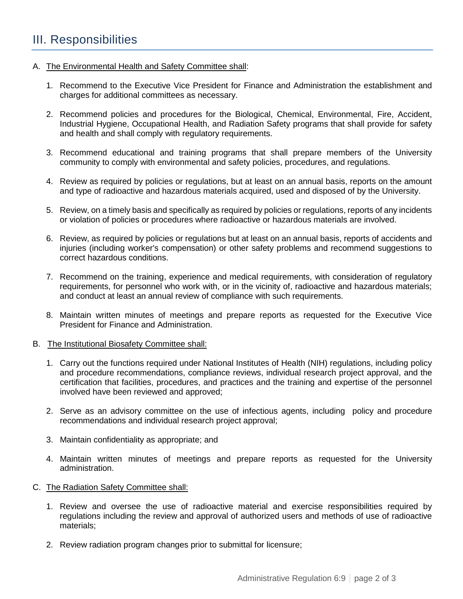### <span id="page-1-0"></span>III. Responsibilities

#### <span id="page-1-1"></span>A. The Environmental Health and Safety Committee shall:

- 1. Recommend to the Executive Vice President for Finance and Administration the establishment and charges for additional committees as necessary.
- 2. Recommend policies and procedures for the Biological, Chemical, Environmental, Fire, Accident, Industrial Hygiene, Occupational Health, and Radiation Safety programs that shall provide for safety and health and shall comply with regulatory requirements.
- 3. Recommend educational and training programs that shall prepare members of the University community to comply with environmental and safety policies, procedures, and regulations.
- 4. Review as required by policies or regulations, but at least on an annual basis, reports on the amount and type of radioactive and hazardous materials acquired, used and disposed of by the University.
- 5. Review, on a timely basis and specifically as required by policies or regulations, reports of any incidents or violation of policies or procedures where radioactive or hazardous materials are involved.
- 6. Review, as required by policies or regulations but at least on an annual basis, reports of accidents and injuries (including worker's compensation) or other safety problems and recommend suggestions to correct hazardous conditions.
- 7. Recommend on the training, experience and medical requirements, with consideration of regulatory requirements, for personnel who work with, or in the vicinity of, radioactive and hazardous materials; and conduct at least an annual review of compliance with such requirements.
- 8. Maintain written minutes of meetings and prepare reports as requested for the Executive Vice President for Finance and Administration.

#### <span id="page-1-2"></span>B. The Institutional Biosafety Committee shall:

- 1. Carry out the functions required under National Institutes of Health (NIH) regulations, including policy and procedure recommendations, compliance reviews, individual research project approval, and the certification that facilities, procedures, and practices and the training and expertise of the personnel involved have been reviewed and approved;
- 2. Serve as an advisory committee on the use of infectious agents, including policy and procedure recommendations and individual research project approval;
- 3. Maintain confidentiality as appropriate; and
- 4. Maintain written minutes of meetings and prepare reports as requested for the University administration.
- <span id="page-1-3"></span>C. The Radiation Safety Committee shall:
	- 1. Review and oversee the use of radioactive material and exercise responsibilities required by regulations including the review and approval of authorized users and methods of use of radioactive materials;
	- 2. Review radiation program changes prior to submittal for licensure;